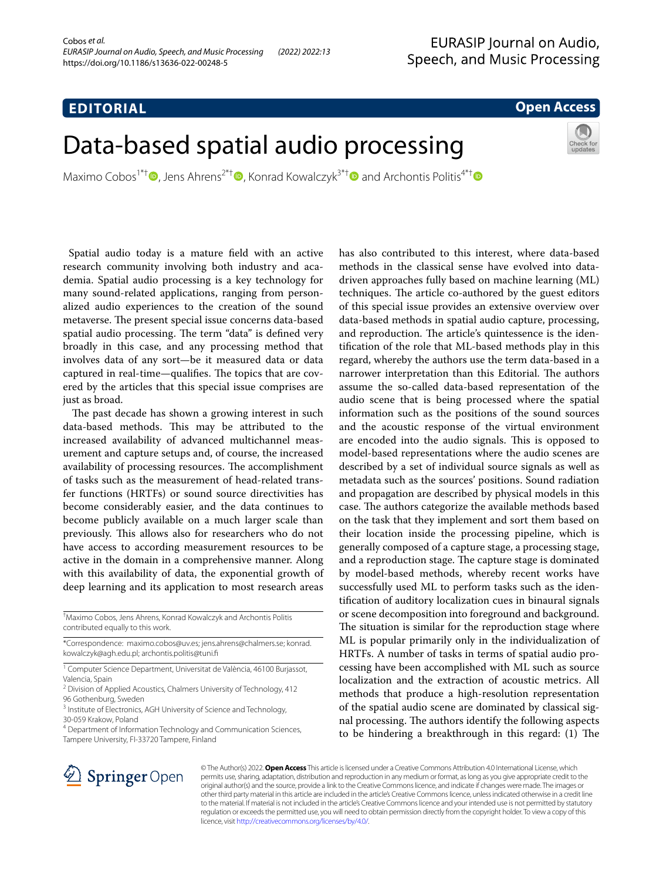## **EDITORIAL**

## **Open Access**

# Data-based spatial audio processing

Maximo Cobos<sup>1\*[†](http://orcid.org/0000-0002-1706-3564)</sup> **D**[,](http://orcid.org/0000-0001-7318-3192) Jens Ahrens<sup>2\*†</sup> **D**, Konrad Kowalczyk<sup>3\*†</sup> **D** and Archontis Politis<sup>4\*†</sup> **D** 

 Spatial audio today is a mature feld with an active research community involving both industry and academia. Spatial audio processing is a key technology for many sound-related applications, ranging from personalized audio experiences to the creation of the sound metaverse. The present special issue concerns data-based spatial audio processing. The term "data" is defined very broadly in this case, and any processing method that involves data of any sort—be it measured data or data captured in real-time—qualifies. The topics that are covered by the articles that this special issue comprises are just as broad.

The past decade has shown a growing interest in such data-based methods. This may be attributed to the increased availability of advanced multichannel measurement and capture setups and, of course, the increased availability of processing resources. The accomplishment of tasks such as the measurement of head-related transfer functions (HRTFs) or sound source directivities has become considerably easier, and the data continues to become publicly available on a much larger scale than previously. This allows also for researchers who do not have access to according measurement resources to be active in the domain in a comprehensive manner. Along with this availability of data, the exponential growth of deep learning and its application to most research areas

† Maximo Cobos, Jens Ahrens, Konrad Kowalczyk and Archontis Politis contributed equally to this work.

\*Correspondence: maximo.cobos@uv.es; jens.ahrens@chalmers.se; konrad. kowalczyk@agh.edu.pl; archontis.politis@tuni.f

<sup>1</sup> Computer Science Department, Universitat de València, 46100 Burjassot, Valencia, Spain

<sup>4</sup> Department of Information Technology and Communication Sciences, Tampere University, FI‑33720 Tampere, Finland

has also contributed to this interest, where data-based methods in the classical sense have evolved into datadriven approaches fully based on machine learning (ML) techniques. The article co-authored by the guest editors of this special issue provides an extensive overview over data-based methods in spatial audio capture, processing, and reproduction. The article's quintessence is the identifcation of the role that ML-based methods play in this regard, whereby the authors use the term data-based in a narrower interpretation than this Editorial. The authors assume the so-called data-based representation of the audio scene that is being processed where the spatial information such as the positions of the sound sources and the acoustic response of the virtual environment are encoded into the audio signals. This is opposed to model-based representations where the audio scenes are described by a set of individual source signals as well as metadata such as the sources' positions. Sound radiation and propagation are described by physical models in this case. The authors categorize the available methods based on the task that they implement and sort them based on their location inside the processing pipeline, which is generally composed of a capture stage, a processing stage, and a reproduction stage. The capture stage is dominated by model-based methods, whereby recent works have successfully used ML to perform tasks such as the identifcation of auditory localization cues in binaural signals or scene decomposition into foreground and background. The situation is similar for the reproduction stage where ML is popular primarily only in the individualization of HRTFs. A number of tasks in terms of spatial audio processing have been accomplished with ML such as source localization and the extraction of acoustic metrics. All methods that produce a high-resolution representation of the spatial audio scene are dominated by classical signal processing. The authors identify the following aspects to be hindering a breakthrough in this regard: (1) The



© The Author(s) 2022. **Open Access** This article is licensed under a Creative Commons Attribution 4.0 International License, which permits use, sharing, adaptation, distribution and reproduction in any medium or format, as long as you give appropriate credit to the original author(s) and the source, provide a link to the Creative Commons licence, and indicate if changes were made. The images or other third party material in this article are included in the article's Creative Commons licence, unless indicated otherwise in a credit line to the material. If material is not included in the article's Creative Commons licence and your intended use is not permitted by statutory regulation or exceeds the permitted use, you will need to obtain permission directly from the copyright holder. To view a copy of this licence, visit [http://creativecommons.org/licenses/by/4.0/.](http://creativecommons.org/licenses/by/4.0/)

<sup>&</sup>lt;sup>2</sup> Division of Applied Acoustics, Chalmers University of Technology, 412 96 Gothenburg, Sweden

<sup>&</sup>lt;sup>3</sup> Institute of Electronics, AGH University of Science and Technology, 30‑059 Krakow, Poland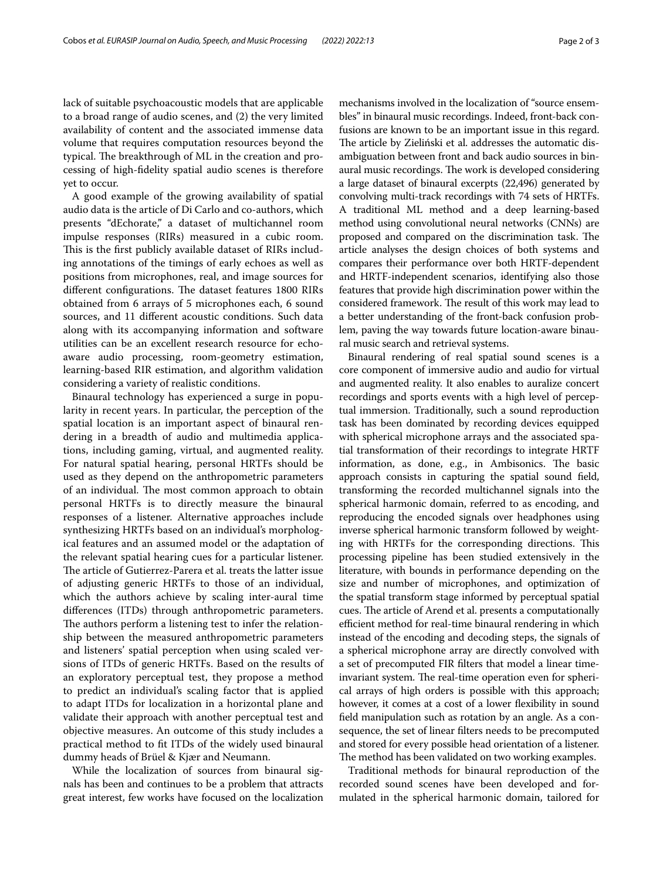lack of suitable psychoacoustic models that are applicable to a broad range of audio scenes, and (2) the very limited availability of content and the associated immense data volume that requires computation resources beyond the typical. The breakthrough of ML in the creation and processing of high-fdelity spatial audio scenes is therefore yet to occur.

A good example of the growing availability of spatial audio data is the article of Di Carlo and co-authors, which presents "dEchorate," a dataset of multichannel room impulse responses (RIRs) measured in a cubic room. This is the first publicly available dataset of RIRs including annotations of the timings of early echoes as well as positions from microphones, real, and image sources for different configurations. The dataset features 1800 RIRs obtained from 6 arrays of 5 microphones each, 6 sound sources, and 11 diferent acoustic conditions. Such data along with its accompanying information and software utilities can be an excellent research resource for echoaware audio processing, room-geometry estimation, learning-based RIR estimation, and algorithm validation considering a variety of realistic conditions.

Binaural technology has experienced a surge in popularity in recent years. In particular, the perception of the spatial location is an important aspect of binaural rendering in a breadth of audio and multimedia applications, including gaming, virtual, and augmented reality. For natural spatial hearing, personal HRTFs should be used as they depend on the anthropometric parameters of an individual. The most common approach to obtain personal HRTFs is to directly measure the binaural responses of a listener. Alternative approaches include synthesizing HRTFs based on an individual's morphological features and an assumed model or the adaptation of the relevant spatial hearing cues for a particular listener. The article of Gutierrez-Parera et al. treats the latter issue of adjusting generic HRTFs to those of an individual, which the authors achieve by scaling inter-aural time diferences (ITDs) through anthropometric parameters. The authors perform a listening test to infer the relationship between the measured anthropometric parameters and listeners' spatial perception when using scaled versions of ITDs of generic HRTFs. Based on the results of an exploratory perceptual test, they propose a method to predict an individual's scaling factor that is applied to adapt ITDs for localization in a horizontal plane and validate their approach with another perceptual test and objective measures. An outcome of this study includes a practical method to ft ITDs of the widely used binaural dummy heads of Brüel & Kjær and Neumann.

While the localization of sources from binaural signals has been and continues to be a problem that attracts great interest, few works have focused on the localization mechanisms involved in the localization of "source ensembles" in binaural music recordings. Indeed, front-back confusions are known to be an important issue in this regard. The article by Zieliński et al. addresses the automatic disambiguation between front and back audio sources in binaural music recordings. The work is developed considering a large dataset of binaural excerpts (22,496) generated by convolving multi-track recordings with 74 sets of HRTFs. A traditional ML method and a deep learning-based method using convolutional neural networks (CNNs) are proposed and compared on the discrimination task. The article analyses the design choices of both systems and compares their performance over both HRTF-dependent and HRTF-independent scenarios, identifying also those features that provide high discrimination power within the considered framework. The result of this work may lead to a better understanding of the front-back confusion problem, paving the way towards future location-aware binaural music search and retrieval systems.

Binaural rendering of real spatial sound scenes is a core component of immersive audio and audio for virtual and augmented reality. It also enables to auralize concert recordings and sports events with a high level of perceptual immersion. Traditionally, such a sound reproduction task has been dominated by recording devices equipped with spherical microphone arrays and the associated spatial transformation of their recordings to integrate HRTF information, as done, e.g., in Ambisonics. The basic approach consists in capturing the spatial sound feld, transforming the recorded multichannel signals into the spherical harmonic domain, referred to as encoding, and reproducing the encoded signals over headphones using inverse spherical harmonic transform followed by weighting with HRTFs for the corresponding directions. This processing pipeline has been studied extensively in the literature, with bounds in performance depending on the size and number of microphones, and optimization of the spatial transform stage informed by perceptual spatial cues. The article of Arend et al. presents a computationally efficient method for real-time binaural rendering in which instead of the encoding and decoding steps, the signals of a spherical microphone array are directly convolved with a set of precomputed FIR flters that model a linear timeinvariant system. The real-time operation even for spherical arrays of high orders is possible with this approach; however, it comes at a cost of a lower fexibility in sound feld manipulation such as rotation by an angle. As a consequence, the set of linear flters needs to be precomputed and stored for every possible head orientation of a listener. The method has been validated on two working examples.

Traditional methods for binaural reproduction of the recorded sound scenes have been developed and formulated in the spherical harmonic domain, tailored for